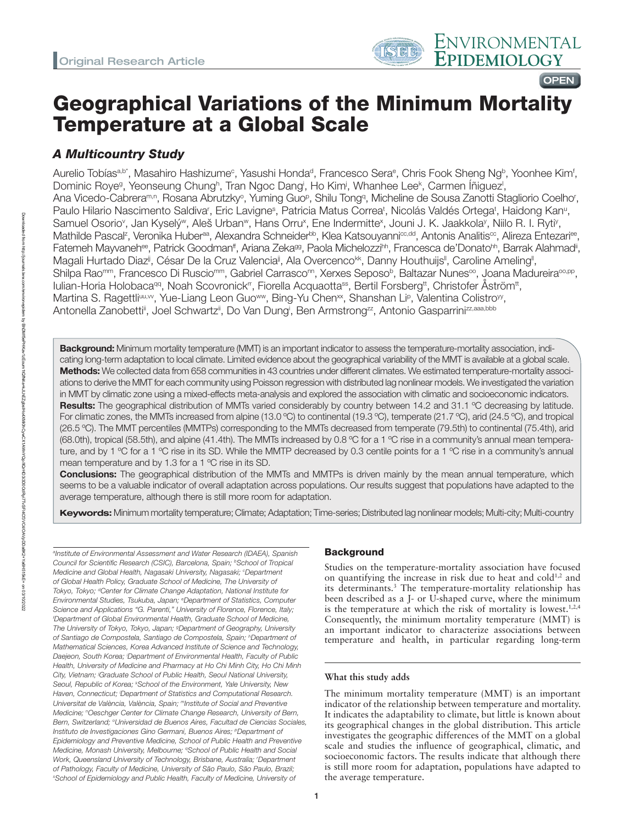# Geographical Variations of the Minimum Mortality Temperature at a Global Scale

# *A Multicountry Study*

Aurelio Tobíasª.b\*, Masahiro Hashizumeº, Yasushi Hondaª, Francesco Seraº, Chris Fook Sheng Ngʰ, Yoonhee Kimʿ, Dominic Roye<sup>g</sup>, Yeonseung Chung<sup>h</sup>, Tran Ngoc Dang<sup>i</sup>, Ho Kim<sup>j</sup>, Whanhee Lee<sup>k</sup>, Carmen İñiguez<sup>i</sup>, Ana Vicedo-Cabrera<sup>m,n</sup>, Rosana Abrutzky°, Yuming Guoº, Shilu Tongª, Micheline de Sousa Zanotti Stagliorio Coelho<sup>r</sup>, Paulo Hilario Nascimento Saldiva<sup>r</sup>, Eric Lavigne<sup>s</sup>, Patricia Matus Correa<sup>t</sup>, Nicolás Valdés Ortega<sup>t</sup>, Haidong Kan<sup>u</sup>, Samuel Osorio<sup>v</sup>, Jan Kyselý<sup>w</sup>, Aleš Urban<sup>w</sup>, Hans Orru<sup>x</sup>, Ene Indermitte<sup>x</sup>, Jouni J. K. Jaakkola<sup>y</sup>, Niilo R. I. Ryti<sup>y</sup>, Mathilde Pascal<sup>z</sup>, Veronika Huber<sup>aa</sup>, Alexandra Schneider<sup>bb</sup>, Klea Katsouyanni<sup>cc,dd</sup>, Antonis Analitis<sup>cc</sup>, Alireza Entezari<sup>ee</sup>, Fatemeh Mayvaneh<sup>ee</sup>, Patrick Goodman", Ariana Zeka<sup>gg</sup>, Paola Michelozzi<sup>hh</sup>, Francesca de'Donato<sup>hh</sup>, Barrak Alahmad<sup>i</sup>, Magali Hurtado Diaz<sup>ij</sup>, César De la Cruz Valencia<sup>ji</sup>, Ala Overcenco<sup>kk</sup>, Danny Houthuijs", Caroline Ameling", Shilpa Rao<sup>mm</sup>, Francesco Di Ruscio<sup>mm</sup>, Gabriel Carrasco<u>nn, Xerxes Seposob, Baltazar Nunes∞,</u> Joana Madureira∞.pp, Iulian-Horia Holobaca<sup>qq</sup>, Noah Scovronick<sup>rr</sup>, Fiorella Acquaotta<sup>ss</sup>, Bertil Forsberg<sup>tt</sup>, Christofer Åström<sup>tt</sup>, Martina S. Ragettli<sup>uu, w</sup>, Yue-Liang Leon Guo<sup>ww</sup>, Bing-Yu Chen<sup>xx</sup>, Shanshan Li<sup>p</sup>, Valentina Colistro<sup>yy</sup>, Antonella Zanobetti", Joel Schwartz", Do Van Dung', Ben Armstrong<sup>zz</sup>, Antonio Gasparrini<sup>zz,aaa,bbb</sup>

Background: Minimum mortality temperature (MMT) is an important indicator to assess the temperature-mortality association, indicating long-term adaptation to local climate. Limited evidence about the geographical variability of the MMT is available at a global scale. Methods: We collected data from 658 communities in 43 countries under different climates. We estimated temperature-mortality associations to derive the MMT for each community using Poisson regression with distributed lag nonlinear models. We investigated the variation in MMT by climatic zone using a mixed-effects meta-analysis and explored the association with climatic and socioeconomic indicators. Results: The geographical distribution of MMTs varied considerably by country between 14.2 and 31.1 °C decreasing by latitude. For climatic zones, the MMTs increased from alpine (13.0 ºC) to continental (19.3 ºC), temperate (21.7 ºC), arid (24.5 ºC), and tropical (26.5 ºC). The MMT percentiles (MMTPs) corresponding to the MMTs decreased from temperate (79.5th) to continental (75.4th), arid (68.0th), tropical (58.5th), and alpine (41.4th). The MMTs indreased by 0.8 ºC for a 1 ºC rise in a community's annual mean temperature, and by 1 °C for a 1 °C rise in its SD. While the MMTP decreased by 0.3 centile points for a 1 °C rise in a community's annual mean temperature and by 1.3 for a 1 ºC rise in its SD.

**Conclusions:** The geographical distribution of the MMTs and MMTPs is driven mainly by the mean annual temperature, which seems to be a valuable indicator of overall adaptation across populations. Our results suggest that populations have adapted to the average temperature, although there is still more room for adaptation.

Keywords: Minimum mortality temperature; Climate; Adaptation; Time-series; Distributed lag nonlinear models; Multi-city; Multi-country

*a Institute of Environmental Assessment and Water Research (IDAEA), Spanish Council for Scientific Research (CSIC), Barcelona, Spain; bSchool of Tropical Medicine and Global Health, Nagasaki University, Nagasaki; c Department of Global Health Policy, Graduate School of Medicine, The University of Tokyo, Tokyo; dCenter for Climate Change Adaptation, National Institute for Environmental Studies, Tsukuba, Japan; e Department of Statistics, Computer Science and Applications "G. Parenti," University of Florence, Florence, Italy; f Department of Global Environmental Health, Graduate School of Medicine, The University of Tokyo, Tokyo, Japan; g Department of Geography, University of Santiago de Compostela, Santiago de Compostela, Spain; h Department of Mathematical Sciences, Korea Advanced Institute of Science and Technology,*  Daejeon, South Korea; *Department of Environmental Health, Faculty of Public Health, University of Medicine and Pharmacy at Ho Chi Minh City, Ho Chi Minh City, Vietnam; j Graduate School of Public Health, Seoul National University, Seoul, Republic of Korea; k School of the Environment, Yale University, New Haven, Connecticut; l Department of Statistics and Computational Research. Universitat de València, València, Spain; mInstitute of Social and Preventive Medicine; n Oeschger Center for Climate Change Research, University of Bern, Bern, Switzerland; o Universidad de Buenos Aires, Facultad de Ciencias Sociales, Instituto de Investigaciones Gino Germani, Buenos Aires; pDepartment of Epidemiology and Preventive Medicine, School of Public Health and Preventive Medicine, Monash University, Melbourne; qSchool of Public Health and Social Work, Queensland University of Technology, Brisbane, Australia; r Department of Pathology, Faculty of Medicine, University of São Paulo, São Paulo, Brazil; s School of Epidemiology and Public Health, Faculty of Medicine, University of* 

# **Background**

Studies on the temperature-mortality association have focused on quantifying the increase in risk due to heat and cold<sup>1,2</sup> and its determinants.3 The temperature-mortality relationship has been described as a J- or U-shaped curve, where the minimum is the temperature at which the risk of mortality is lowest.<sup>1,2,4</sup> Consequently, the minimum mortality temperature (MMT) is an important indicator to characterize associations between temperature and health, in particular regarding long-term

# **What this study adds**

The minimum mortality temperature (MMT) is an important indicator of the relationship between temperature and mortality. It indicates the adaptability to climate, but little is known about its geographical changes in the global distribution. This article investigates the geographic differences of the MMT on a global scale and studies the influence of geographical, climatic, and socioeconomic factors. The results indicate that although there is still more room for adaptation, populations have adapted to the average temperature.

1

**OPEN**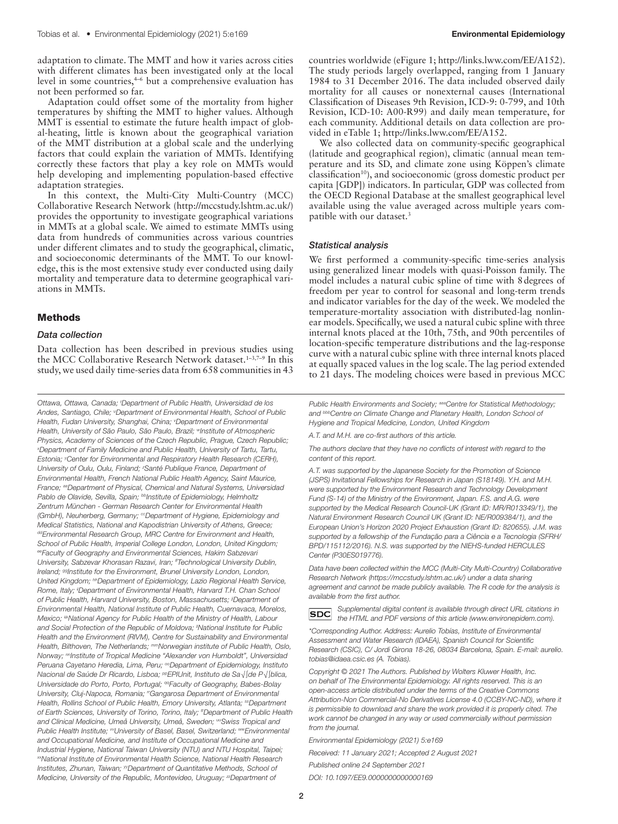adaptation to climate. The MMT and how it varies across cities with different climates has been investigated only at the local level in some countries,<sup>46</sup> but a comprehensive evaluation has not been performed so far.

Adaptation could offset some of the mortality from higher temperatures by shifting the MMT to higher values. Although MMT is essential to estimate the future health impact of global-heating, little is known about the geographical variation of the MMT distribution at a global scale and the underlying factors that could explain the variation of MMTs. Identifying correctly these factors that play a key role on MMTs would help developing and implementing population-based effective adaptation strategies.

In this context, the Multi-City Multi-Country (MCC) Collaborative Research Network (<http://mccstudy.lshtm.ac.uk/>) provides the opportunity to investigate geographical variations in MMTs at a global scale. We aimed to estimate MMTs using data from hundreds of communities across various countries under different climates and to study the geographical, climatic, and socioeconomic determinants of the MMT. To our knowledge, this is the most extensive study ever conducted using daily mortality and temperature data to determine geographical variations in MMTs.

#### Methods

#### *Data collection*

Data collection has been described in previous studies using the MCC Collaborative Research Network dataset.<sup>1-3,7-9</sup> In this study, we used daily time-series data from 658 communities in 43

*Ottawa, Ottawa, Canada; t Department of Public Health, Universidad de los*  Andes, Santiago, Chile; <sup>u</sup>Department of Environmental Health, School of Public *Health, Fudan University, Shanghai, China; v Department of Environmental Health, University of São Paulo, São Paulo, Brazil; wInstitute of Atmospheric Physics, Academy of Sciences of the Czech Republic, Prague, Czech Republic; x Department of Family Medicine and Public Health, University of Tartu, Tartu, Estonia; y Center for Environmental and Respiratory Health Research (CERH), University of Oulu, Oulu, Finland; z Santé Publique France, Department of Environmental Health, French National Public Health Agency, Saint Maurice, France; aaDepartment of Physical, Chemical and Natural Systems, Universidad*  Pablo de Olavide, Sevilla, Spain; bbInstitute of Epidemiology, Helmholtz *Zentrum München - German Research Center for Environmental Health (GmbH), Neuherberg, Germany; ccDepartment of Hygiene, Epidemiology and Medical Statistics, National and Kapodistrian University of Athens, Greece; ddEnvironmental Research Group, MRC Centre for Environment and Health, School of Public Health, Imperial College London, London, United Kingdom; eeFaculty of Geography and Environmental Sciences, Hakim Sabzevari University, Sabzevar Khorasan Razavi, Iran; ffTechnological University Dublin, Ireland; <sup>gg</sup>Institute for the Environment, Brunel University London, London, United Kingdom; hhDepartment of Epidemiology, Lazio Regional Health Service, Rome, Italy; iiDepartment of Environmental Health, Harvard T.H. Chan School*  of Public Health, Harvard University, Boston, Massachusetts; <sup>jj</sup>Department of *Environmental Health, National Institute of Public Health, Cuernavaca, Morelos, Mexico; <sup>kk</sup>National Agency for Public Health of the Ministry of Health, Labour* and Social Protection of the Republic of Moldova; <sup>I</sup>National Institute for Public *Health and the Environment (RIVM), Centre for Sustainability and Environmental Health, Bilthoven, The Netherlands; mmNorwegian institute of Public Health, Oslo, Norway; nnInstitute of Tropical Medicine "Alexander von Humboldt", Universidad Peruana Cayetano Heredia, Lima, Peru; ooDepartment of Epidemiology, Instituto Nacional de Saúde Dr Ricardo, Lisboa; ppEPIUnit, Instituto de Sa√∫de P√∫blica, Universidade do Porto, Porto, Portugal; qqFaculty of Geography, Babes-Bolay University, Cluj-Napoca, Romania; rrGangarosa Department of Environmental Health, Rollins School of Public Health, Emory University, Atlanta; ssDepartment*  of Earth Sciences, University of Torino, Torino, Italy; <sup>#</sup>Department of Public Health *and Clinical Medicine, Umeå University, Umeå, Sweden; uuSwiss Tropical and Public Health Institute; vvUniversity of Basel, Basel, Switzerland; wwEnvironmental and Occupational Medicine, and Institute of Occupational Medicine and Industrial Hygiene, National Taiwan University (NTU) and NTU Hospital, Taipei; xxNational Institute of Environmental Health Science, National Health Research Institutes, Zhunan, Taiwan; yyDepartment of Quantitative Methods, School of Medicine, University of the Republic, Montevideo, Uruguay; <sup>22</sup>Department of* 

countries worldwide (eFigure 1; [http://links.lww.com/EE/A152\)](http://links.lww.com/EE/A152). The study periods largely overlapped, ranging from 1 January 1984 to 31 December 2016. The data included observed daily mortality for all causes or nonexternal causes (International Classification of Diseases 9th Revision, ICD-9: 0-799, and 10th Revision, ICD-10: A00-R99) and daily mean temperature, for each community. Additional details on data collection are provided in eTable 1; [http://links.lww.com/EE/A152.](http://links.lww.com/EE/A152)

We also collected data on community-specific geographical (latitude and geographical region), climatic (annual mean temperature and its SD, and climate zone using Köppen's climate classification<sup>10</sup>), and socioeconomic (gross domestic product per capita [GDP]) indicators. In particular, GDP was collected from the OECD Regional Database at the smallest geographical level available using the value averaged across multiple years compatible with our dataset.<sup>3</sup>

#### *Statistical analysis*

We first performed a community-specific time-series analysis using generalized linear models with quasi-Poisson family. The model includes a natural cubic spline of time with 8degrees of freedom per year to control for seasonal and long-term trends and indicator variables for the day of the week. We modeled the temperature-mortality association with distributed-lag nonlinear models. Specifically, we used a natural cubic spline with three internal knots placed at the 10th, 75th, and 90th percentiles of location-specific temperature distributions and the lag-response curve with a natural cubic spline with three internal knots placed at equally spaced values in the log scale. The lag period extended to 21 days. The modeling choices were based in previous MCC

*Public Health Environments and Society; aaaCentre for Statistical Methodology; and bbbCentre on Climate Change and Planetary Health, London School of Hygiene and Tropical Medicine, London, United Kingdom*

*A.T. and M.H. are co-first authors of this article.*

*The authors declare that they have no conflicts of interest with regard to the content of this report.*

*A.T. was supported by the Japanese Society for the Promotion of Science (JSPS) Invitational Fellowships for Research in Japan (S18149). Y.H. and M.H. were supported by the Environment Research and Technology Development Fund (S-14) of the Ministry of the Environment, Japan. F.S. and A.G. were supported by the Medical Research Council-UK (Grant ID: MR/R013349/1), the Natural Environment Research Council UK (Grant ID: NE/R009384/1), and the European Union's Horizon 2020 Project Exhaustion (Grant ID: 820655). J.M. was supported by a fellowship of the Fundação para a Ciência e a Tecnologia (SFRH/ BPD/115112/2016). N.S. was supported by the NIEHS-funded HERCULES Center (P30ES019776).*

*Data have been collected within the MCC (Multi-City Multi-Country) Collaborative Research Network [\(https://mccstudy.lshtm.ac.uk/\)](https://mccstudy.lshtm.ac.uk/) under a data sharing*  agreement and cannot be made publicly available. The R code for the analysis is *available from the first author.*

*Supplemental digital content is available through direct URL citations in*  **SDC** *the HTML and PDF versions of this article [\(www.environepidem.com\)](www.environepidem.com).*

*\*Corresponding Author. Address: Aurelio Tobías, Institute of Environmental Assessment and Water Research (IDAEA), Spanish Council for Scientific Research (CSIC), C/ Jordi Girona 18-26, 08034 Barcelona, Spain. E-mail: [aurelio.](mailto:aurelio.tobias@idaea.csic.es) [tobias@idaea.csic.es](mailto:aurelio.tobias@idaea.csic.es) (A. Tobias).*

*Copyright © 2021 The Authors. Published by Wolters Kluwer Health, Inc. on behalf of The Environmental Epidemiology. All rights reserved. This is an open-access article distributed under the terms of the [Creative Commons](http://creativecommons.org/licenses/by-nc-nd/4.0/)  [Attribution-Non Commercial-No Derivatives License 4.0 \(CCBY-NC-ND\),](http://creativecommons.org/licenses/by-nc-nd/4.0/) where it is permissible to download and share the work provided it is properly cited. The work cannot be changed in any way or used commercially without permission from the journal.*

*Environmental Epidemiology (2021) 5:e169*

*Received: 11 January 2021; Accepted 2 August 2021*

*Published online 24 September 2021*

*DOI: 10.1097/EE9.0000000000000169*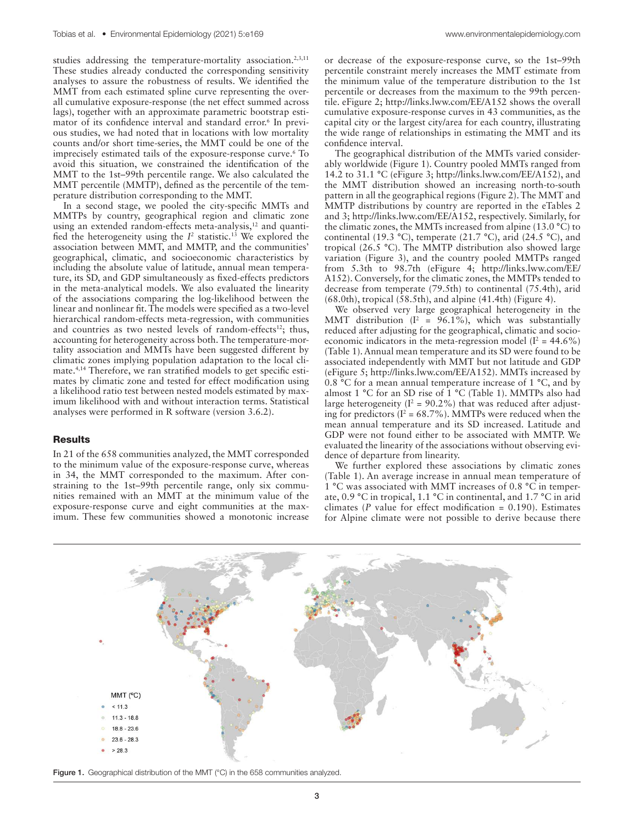studies addressing the temperature-mortality association.<sup>2,3,11</sup> These studies already conducted the corresponding sensitivity analyses to assure the robustness of results. We identified the MMT from each estimated spline curve representing the overall cumulative exposure-response (the net effect summed across lags), together with an approximate parametric bootstrap estimator of its confidence interval and standard error.<sup>6</sup> In previous studies, we had noted that in locations with low mortality counts and/or short time-series, the MMT could be one of the imprecisely estimated tails of the exposure-response curve.<sup>6</sup> To avoid this situation, we constrained the identification of the MMT to the 1st–99th percentile range. We also calculated the MMT percentile (MMTP), defined as the percentile of the temperature distribution corresponding to the MMT.

In a second stage, we pooled the city-specific MMTs and MMTPs by country, geographical region and climatic zone using an extended random-effects meta-analysis,<sup>12</sup> and quantified the heterogeneity using the  $I^2$  statistic.<sup>13</sup> We explored the association between MMT, and MMTP, and the communities' geographical, climatic, and socioeconomic characteristics by including the absolute value of latitude, annual mean temperature, its SD, and GDP simultaneously as fixed-effects predictors in the meta-analytical models. We also evaluated the linearity of the associations comparing the log-likelihood between the linear and nonlinear fit. The models were specified as a two-level hierarchical random-effects meta-regression, with communities and countries as two nested levels of random-effects<sup>12</sup>; thus, accounting for heterogeneity across both. The temperature-mortality association and MMTs have been suggested different by climatic zones implying population adaptation to the local climate.4,14 Therefore, we ran stratified models to get specific estimates by climatic zone and tested for effect modification using a likelihood ratio test between nested models estimated by maximum likelihood with and without interaction terms. Statistical analyses were performed in R software (version 3.6.2).

#### Results

In 21 of the 658 communities analyzed, the MMT corresponded to the minimum value of the exposure-response curve, whereas in 34, the MMT corresponded to the maximum. After constraining to the 1st–99th percentile range, only six communities remained with an MMT at the minimum value of the exposure-response curve and eight communities at the maximum. These few communities showed a monotonic increase

or decrease of the exposure-response curve, so the 1st–99th percentile constraint merely increases the MMT estimate from the minimum value of the temperature distribution to the 1st percentile or decreases from the maximum to the 99th percentile. eFigure 2;<http://links.lww.com/EE/A152> shows the overall cumulative exposure-response curves in 43 communities, as the capital city or the largest city/area for each country, illustrating the wide range of relationships in estimating the MMT and its confidence interval.

The geographical distribution of the MMTs varied considerably worldwide (Figure 1). Country pooled MMTs ranged from 14.2 to 31.1 °C (eFigure 3; [http://links.lww.com/EE/A152\)](http://links.lww.com/EE/A152), and the MMT distribution showed an increasing north-to-south pattern in all the geographical regions (Figure 2). The MMT and MMTP distributions by country are reported in the eTables 2 and 3; <http://links.lww.com/EE/A152>, respectively. Similarly, for the climatic zones, the MMTs increased from alpine (13.0 °C) to continental (19.3 °C), temperate (21.7 °C), arid (24.5 °C), and tropical (26.5 °C). The MMTP distribution also showed large variation (Figure 3), and the country pooled MMTPs ranged from 5.3th to 98.7th (eFigure 4; [http://links.lww.com/EE/](http://links.lww.com/EE/A152) [A152\)](http://links.lww.com/EE/A152). Conversely, for the climatic zones, the MMTPs tended to decrease from temperate (79.5th) to continental (75.4th), arid  $(68.0th)$ , tropical  $(58.5th)$ , and alpine  $(41.4th)$  (Figure 4).

We observed very large geographical heterogeneity in the MMT distribution ( $I^2 = 96.1\%$ ), which was substantially reduced after adjusting for the geographical, climatic and socioeconomic indicators in the meta-regression model ( $I^2 = 44.6\%$ ) (Table 1). Annual mean temperature and its SD were found to be associated independently with MMT but not latitude and GDP (eFigure 5; [http://links.lww.com/EE/A152\)](http://links.lww.com/EE/A152). MMTs increased by 0.8 °C for a mean annual temperature increase of 1 °C, and by almost 1 °C for an SD rise of 1 °C (Table 1). MMTPs also had large heterogeneity ( $I^2 = 90.2\%$ ) that was reduced after adjusting for predictors ( $I^2 = 68.7\%$ ). MMTPs were reduced when the mean annual temperature and its SD increased. Latitude and GDP were not found either to be associated with MMTP. We evaluated the linearity of the associations without observing evidence of departure from linearity.

We further explored these associations by climatic zones (Table 1). An average increase in annual mean temperature of 1 °C was associated with MMT increases of 0.8 °C in temperate, 0.9 °C in tropical, 1.1 °C in continental, and 1.7 °C in arid climates (*P* value for effect modification = 0.190). Estimates for Alpine climate were not possible to derive because there



Figure 1. Geographical distribution of the MMT (°C) in the 658 communities analyzed.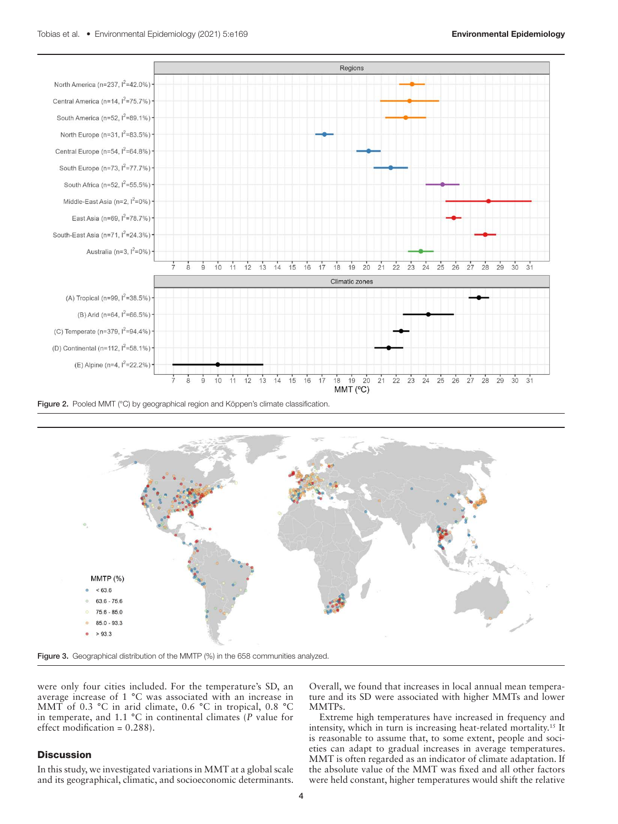

Figure 2. Pooled MMT (°C) by geographical region and Köppen's climate classification.



Figure 3. Geographical distribution of the MMTP (%) in the 658 communities analyzed.

were only four cities included. For the temperature's SD, an average increase of 1 °C was associated with an increase in MMT of 0.3 °C in arid climate, 0.6 °C in tropical, 0.8 °C in temperate, and 1.1 °C in continental climates (*P* value for effect modification = 0.288).

### **Discussion**

In this study, we investigated variations in MMT at a global scale and its geographical, climatic, and socioeconomic determinants.

Overall, we found that increases in local annual mean temperature and its SD were associated with higher MMTs and lower MMTPs.

Extreme high temperatures have increased in frequency and intensity, which in turn is increasing heat-related mortality.15 It is reasonable to assume that, to some extent, people and societies can adapt to gradual increases in average temperatures. MMT is often regarded as an indicator of climate adaptation. If the absolute value of the MMT was fixed and all other factors were held constant, higher temperatures would shift the relative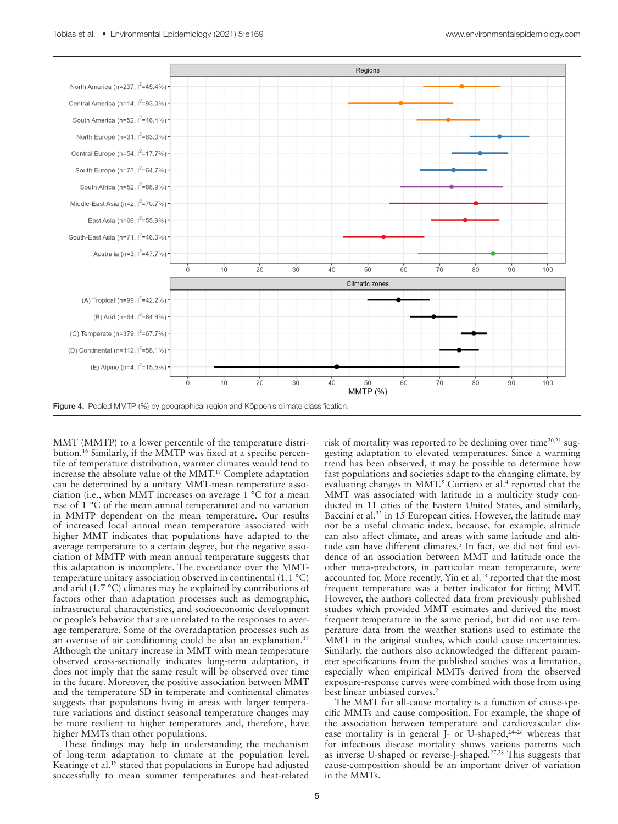

MMT (MMTP) to a lower percentile of the temperature distribution.16 Similarly, if the MMTP was fixed at a specific percentile of temperature distribution, warmer climates would tend to increase the absolute value of the MMT.17 Complete adaptation can be determined by a unitary MMT-mean temperature association (i.e., when MMT increases on average 1 °C for a mean rise of 1 °C of the mean annual temperature) and no variation in MMTP dependent on the mean temperature. Our results of increased local annual mean temperature associated with higher MMT indicates that populations have adapted to the average temperature to a certain degree, but the negative association of MMTP with mean annual temperature suggests that this adaptation is incomplete. The exceedance over the MMTtemperature unitary association observed in continental (1.1 °C) and arid (1.7 °C) climates may be explained by contributions of factors other than adaptation processes such as demographic, infrastructural characteristics, and socioeconomic development or people's behavior that are unrelated to the responses to average temperature. Some of the overadaptation processes such as an overuse of air conditioning could be also an explanation.<sup>18</sup> Although the unitary increase in MMT with mean temperature observed cross-sectionally indicates long-term adaptation, it does not imply that the same result will be observed over time in the future. Moreover, the positive association between MMT and the temperature SD in temperate and continental climates suggests that populations living in areas with larger temperature variations and distinct seasonal temperature changes may be more resilient to higher temperatures and, therefore, have higher MMTs than other populations.

These findings may help in understanding the mechanism of long-term adaptation to climate at the population level. Keatinge et al.19 stated that populations in Europe had adjusted successfully to mean summer temperatures and heat-related

risk of mortality was reported to be declining over time $20,21$  suggesting adaptation to elevated temperatures. Since a warming trend has been observed, it may be possible to determine how fast populations and societies adapt to the changing climate, by evaluating changes in MMT.<sup>5</sup> Curriero et al.<sup>4</sup> reported that the MMT was associated with latitude in a multicity study conducted in 11 cities of the Eastern United States, and similarly, Baccini et al.<sup>22</sup> in 15 European cities. However, the latitude may not be a useful climatic index, because, for example, altitude can also affect climate, and areas with same latitude and altitude can have different climates.<sup>5</sup> In fact, we did not find evidence of an association between MMT and latitude once the other meta-predictors, in particular mean temperature, were accounted for. More recently, Yin et al.<sup>23</sup> reported that the most frequent temperature was a better indicator for fitting MMT. However, the authors collected data from previously published studies which provided MMT estimates and derived the most frequent temperature in the same period, but did not use temperature data from the weather stations used to estimate the MMT in the original studies, which could cause uncertainties. Similarly, the authors also acknowledged the different parameter specifications from the published studies was a limitation, especially when empirical MMTs derived from the observed exposure-response curves were combined with those from using best linear unbiased curves.<sup>2</sup>

The MMT for all-cause mortality is a function of cause-specific MMTs and cause composition. For example, the shape of the association between temperature and cardiovascular disease mortality is in general  $\hat{J}$ - or U-shaped,<sup>24-26</sup> whereas that for infectious disease mortality shows various patterns such as inverse U-shaped or reverse-J-shaped.27,28 This suggests that cause-composition should be an important driver of variation in the MMTs.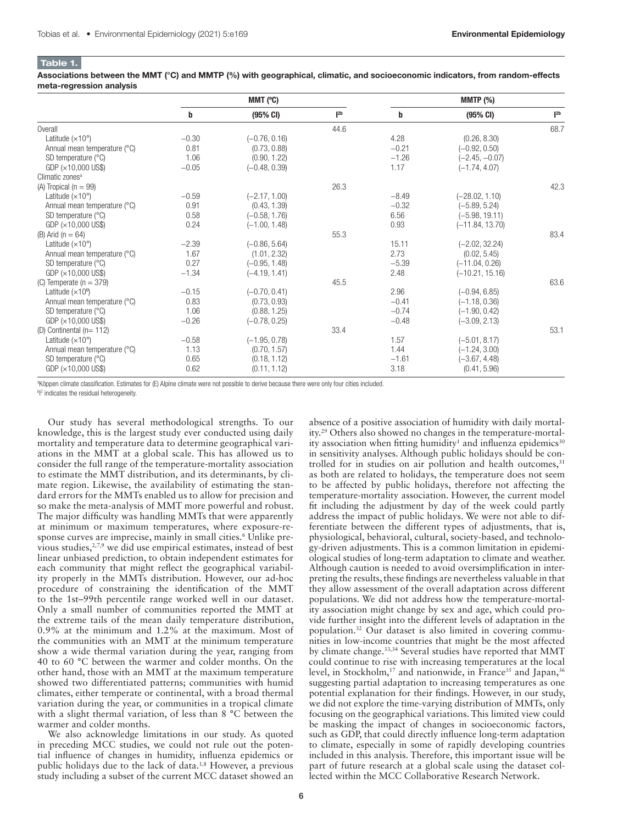#### Table 1.

Associations between the MMT (°C) and MMTP (%) with geographical, climatic, and socioeconomic indicators, from random-effects meta-regression analysis

|                               | MMT (°C) |                 |                   | <b>MMTP</b> (%) |                   |                   |
|-------------------------------|----------|-----------------|-------------------|-----------------|-------------------|-------------------|
|                               | b        | (95% CI)        | $\mathsf{I}^{2b}$ | b               | $(95%$ CI)        | $\mathsf{I}^{2b}$ |
| Overall                       |          |                 | 44.6              |                 |                   | 68.7              |
| Latitude $(x10^\circ)$        | $-0.30$  | $(-0.76, 0.16)$ |                   | 4.28            | (0.26, 8.30)      |                   |
| Annual mean temperature (°C)  | 0.81     | (0.73, 0.88)    |                   | $-0.21$         | $(-0.92, 0.50)$   |                   |
| SD temperature $(^{\circ}C)$  | 1.06     | (0.90, 1.22)    |                   | $-1.26$         | $(-2.45, -0.07)$  |                   |
| $GDP$ ( $\times$ 10,000 US\$) | $-0.05$  | $(-0.48, 0.39)$ |                   | 1.17            | $(-1.74, 4.07)$   |                   |
| Climatic zones <sup>a</sup>   |          |                 |                   |                 |                   |                   |
| (A) Tropical ( $n = 99$ )     |          |                 | 26.3              |                 |                   | 42.3              |
| Latitude $(x10^\circ)$        | $-0.59$  | $(-2.17, 1.00)$ |                   | $-8.49$         | $(-28.02, 1.10)$  |                   |
| Annual mean temperature (°C)  | 0.91     | (0.43, 1.39)    |                   | $-0.32$         | $(-5.89, 5.24)$   |                   |
| SD temperature $(^{\circ}C)$  | 0.58     | $(-0.58, 1.76)$ |                   | 6.56            | $(-5.98, 19.11)$  |                   |
| $GDP$ ( $\times$ 10,000 US\$) | 0.24     | $(-1.00, 1.48)$ |                   | 0.93            | $(-11.84, 13.70)$ |                   |
| (B) Arid ( $n = 64$ )         |          |                 | 55.3              |                 |                   | 83.4              |
| Latitude $(x10^\circ)$        | $-2.39$  | $(-0.86, 5.64)$ |                   | 15.11           | $(-2.02, 32.24)$  |                   |
| Annual mean temperature (°C)  | 1.67     | (1.01, 2.32)    |                   | 2.73            | (0.02, 5.45)      |                   |
| SD temperature $(^{\circ}C)$  | 0.27     | $(-0.95, 1.48)$ |                   | $-5.39$         | $(-11.04, 0.26)$  |                   |
| $GDP$ ( $\times$ 10,000 US\$) | $-1.34$  | $(-4.19, 1.41)$ |                   | 2.48            | $(-10.21, 15.16)$ |                   |
| (C) Temperate ( $n = 379$ )   |          |                 | 45.5              |                 |                   | 63.6              |
| Latitude $(x10^\circ)$        | $-0.15$  | $(-0.70, 0.41)$ |                   | 2.96            | $(-0.94, 6.85)$   |                   |
| Annual mean temperature (°C)  | 0.83     | (0.73, 0.93)    |                   | $-0.41$         | $(-1.18, 0.36)$   |                   |
| SD temperature $(^{\circ}C)$  | 1.06     | (0.88, 1.25)    |                   | $-0.74$         | $(-1.90.0.42)$    |                   |
| $GDP$ ( $\times$ 10,000 US\$) | $-0.26$  | $(-0.78, 0.25)$ |                   | $-0.48$         | $(-3.09, 2.13)$   |                   |
| (D) Continental ( $n=112$ )   |          |                 | 33.4              |                 |                   | 53.1              |
| Latitude $(x10^\circ)$        | $-0.58$  | $(-1.95, 0.78)$ |                   | 1.57            | $(-5.01, 8.17)$   |                   |
| Annual mean temperature (°C)  | 1.13     | (0.70, 1.57)    |                   | 1.44            | $(-1.24, 3.00)$   |                   |
| SD temperature $(^{\circ}C)$  | 0.65     | (0.18, 1.12)    |                   | $-1.61$         | $(-3.67, 4.48)$   |                   |
| $GDP$ ( $\times$ 10,000 US\$) | 0.62     | (0.11, 1.12)    |                   | 3.18            | (0.41, 5.96)      |                   |

a Köppen climate classification. Estimates for (E) Alpine climate were not possible to derive because there were only four cities included.

<sup>b</sup><sup>2</sup> indicates the residual heterogeneity. I

Our study has several methodological strengths. To our knowledge, this is the largest study ever conducted using daily mortality and temperature data to determine geographical variations in the MMT at a global scale. This has allowed us to consider the full range of the temperature-mortality association to estimate the MMT distribution, and its determinants, by climate region. Likewise, the availability of estimating the standard errors for the MMTs enabled us to allow for precision and so make the meta-analysis of MMT more powerful and robust. The major difficulty was handling MMTs that were apparently at minimum or maximum temperatures, where exposure-response curves are imprecise, mainly in small cities.<sup>6</sup> Unlike previous studies,<sup>2,7,9</sup> we did use empirical estimates, instead of best linear unbiased prediction, to obtain independent estimates for each community that might reflect the geographical variability properly in the MMTs distribution. However, our ad-hoc procedure of constraining the identification of the MMT to the 1st–99th percentile range worked well in our dataset. Only a small number of communities reported the MMT at the extreme tails of the mean daily temperature distribution, 0.9% at the minimum and 1.2% at the maximum. Most of the communities with an MMT at the minimum temperature show a wide thermal variation during the year, ranging from 40 to 60 °C between the warmer and colder months. On the other hand, those with an MMT at the maximum temperature showed two differentiated patterns; communities with humid climates, either temperate or continental, with a broad thermal variation during the year, or communities in a tropical climate with a slight thermal variation, of less than 8 °C between the warmer and colder months.

We also acknowledge limitations in our study. As quoted in preceding MCC studies, we could not rule out the potential influence of changes in humidity, influenza epidemics or public holidays due to the lack of data.<sup>1,8</sup> However, a previous study including a subset of the current MCC dataset showed an

absence of a positive association of humidity with daily mortality.29 Others also showed no changes in the temperature-mortality association when fitting humidity<sup>1</sup> and influenza epidemics<sup>30</sup> in sensitivity analyses. Although public holidays should be controlled for in studies on air pollution and health outcomes,  $31$ as both are related to holidays, the temperature does not seem to be affected by public holidays, therefore not affecting the temperature-mortality association. However, the current model fit including the adjustment by day of the week could partly address the impact of public holidays. We were not able to differentiate between the different types of adjustments, that is, physiological, behavioral, cultural, society-based, and technology-driven adjustments. This is a common limitation in epidemiological studies of long-term adaptation to climate and weather. Although caution is needed to avoid oversimplification in interpreting the results, these findings are nevertheless valuable in that they allow assessment of the overall adaptation across different populations. We did not address how the temperature-mortality association might change by sex and age, which could provide further insight into the different levels of adaptation in the population.32 Our dataset is also limited in covering communities in low-income countries that might be the most affected by climate change.<sup>33,34</sup> Several studies have reported that MMT could continue to rise with increasing temperatures at the local level, in Stockholm,<sup>17</sup> and nationwide, in France<sup>35</sup> and Japan,<sup>36</sup> suggesting partial adaptation to increasing temperatures as one potential explanation for their findings. However, in our study, we did not explore the time-varying distribution of MMTs, only focusing on the geographical variations. This limited view could be masking the impact of changes in socioeconomic factors, such as GDP, that could directly influence long-term adaptation to climate, especially in some of rapidly developing countries included in this analysis. Therefore, this important issue will be part of future research at a global scale using the dataset collected within the MCC Collaborative Research Network.